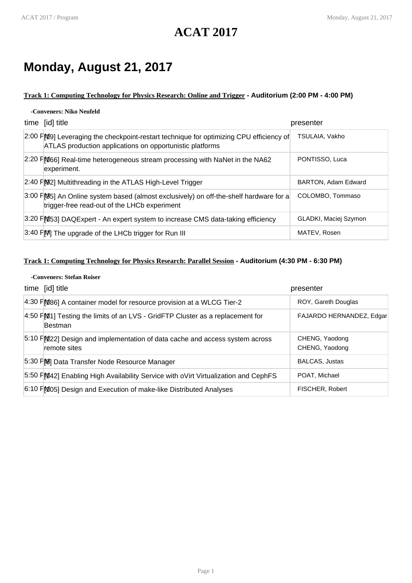## **ACAT 2017**

## **Monday, August 21, 2017**

## **Track 1: Computing Technology for Physics Research: Online and Trigger - Auditorium (2:00 PM - 4:00 PM)**

### **-Conveners: Niko Neufeld**

| time [id] title                                                                                                                                           | presenter             |
|-----------------------------------------------------------------------------------------------------------------------------------------------------------|-----------------------|
| 2:00 FM9] Leveraging the checkpoint-restart technique for optimizing CPU efficiency of<br><b>ATLAS</b> production applications on opportunistic platforms | TSULAIA, Vakho        |
| 2:20 FM66] Real-time heterogeneous stream processing with NaNet in the NA62<br>experiment.                                                                | PONTISSO, Luca        |
| 2:40 FM2] Multithreading in the ATLAS High-Level Trigger                                                                                                  | BARTON, Adam Edward   |
| 3:00 FM5] An Online system based (almost exclusively) on off-the-shelf hardware for a<br>trigger-free read-out of the LHCb experiment                     | COLOMBO, Tommaso      |
| 3:20 PM53] DAQExpert - An expert system to increase CMS data-taking efficiency                                                                            | GLADKI, Maciej Szymon |
| 3:40 PM The upgrade of the LHCb trigger for Run III                                                                                                       | MATEV, Rosen          |

## **Track 1: Computing Technology for Physics Research: Parallel Session - Auditorium (4:30 PM - 6:30 PM)**

#### **-Conveners: Stefan Roiser**

| time [id] title                                                                             | presenter                        |
|---------------------------------------------------------------------------------------------|----------------------------------|
| 4:30 FM86] A container model for resource provision at a WLCG Tier-2                        | ROY, Gareth Douglas              |
| $4:50$ FM1] Testing the limits of an LVS - GridFTP Cluster as a replacement for<br>Bestman  | FAJARDO HERNANDEZ, Edgar         |
| 5:10 FM22] Design and implementation of data cache and access system across<br>remote sites | CHENG, Yaodong<br>CHENG, Yaodong |
| 5:30 FM Data Transfer Node Resource Manager                                                 | <b>BALCAS, Justas</b>            |
| 5:50 FM42] Enabling High Availability Service with oVirt Virtualization and CephFS          | POAT, Michael                    |
| 6:10 PM05] Design and Execution of make-like Distributed Analyses                           | FISCHER, Robert                  |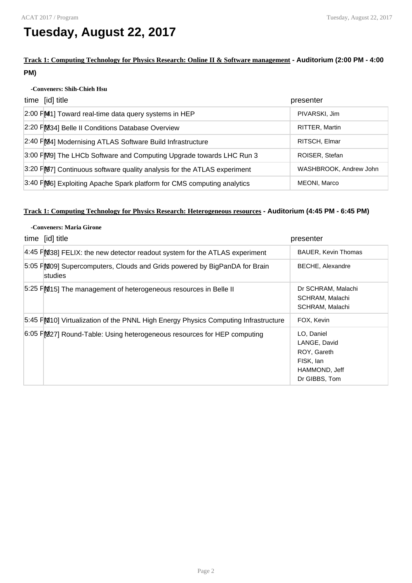## **Tuesday, August 22, 2017**

## **Track 1: Computing Technology for Physics Research: Online II & Software management - Auditorium (2:00 PM - 4:00 PM)**

### **-Conveners: Shih-Chieh Hsu**

| time [id] title                                                           | presenter              |
|---------------------------------------------------------------------------|------------------------|
| 2:00 FM1] Toward real-time data query systems in HEP                      | PIVARSKI, Jim          |
| 2:20 FM34] Belle II Conditions Database Overview                          | RITTER, Martin         |
| 2:40 FM24] Modernising ATLAS Software Build Infrastructure                | RITSCH, Elmar          |
| 3:00 FM9] The LHCb Software and Computing Upgrade towards LHC Run 3       | ROISER, Stefan         |
| 3:20 F [97] Continuous software quality analysis for the ATLAS experiment | WASHBROOK, Andrew John |
| 3:40 FM6] Exploiting Apache Spark platform for CMS computing analytics    | MEONI, Marco           |

## **Track 1: Computing Technology for Physics Research: Heterogeneous resources - Auditorium (4:45 PM - 6:45 PM)**

| -Conveners: Maria Girone |                                                                                      |                                                                                          |
|--------------------------|--------------------------------------------------------------------------------------|------------------------------------------------------------------------------------------|
|                          | time [id] title                                                                      | presenter                                                                                |
|                          | 4:45 FM38] FELIX: the new detector readout system for the ATLAS experiment           | <b>BAUER, Kevin Thomas</b>                                                               |
|                          | 5:05 FM09] Supercomputers, Clouds and Grids powered by BigPanDA for Brain<br>studies | <b>BECHE, Alexandre</b>                                                                  |
|                          | 5:25 FM15] The management of heterogeneous resources in Belle II                     | Dr SCHRAM, Malachi<br>SCHRAM, Malachi<br>SCHRAM, Malachi                                 |
|                          | 5:45 FM10] Virtualization of the PNNL High Energy Physics Computing Infrastructure   | FOX, Kevin                                                                               |
|                          | 6:05 PM27] Round-Table: Using heterogeneous resources for HEP computing              | LO, Daniel<br>LANGE, David<br>ROY, Gareth<br>FISK, lan<br>HAMMOND, Jeff<br>Dr GIBBS, Tom |